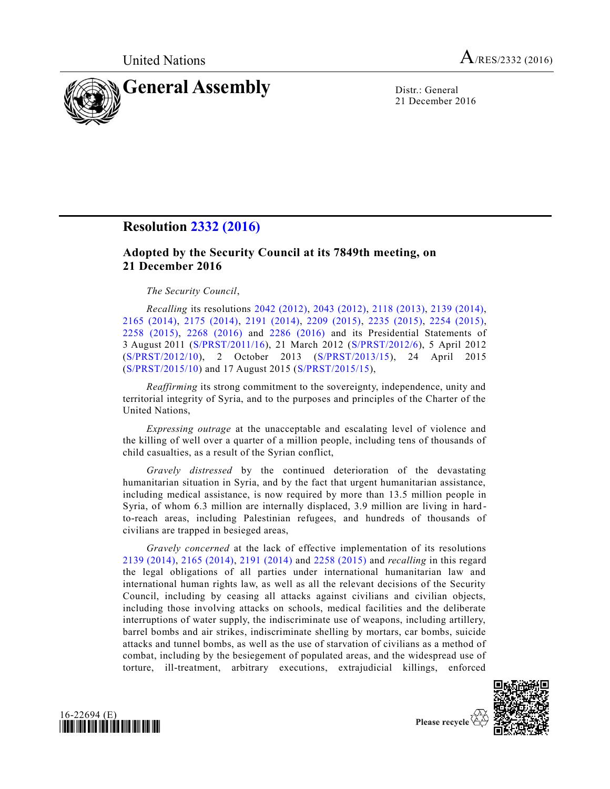

21 December 2016

## **Resolution [2332 \(2016\)](http://undocs.org/S/RES/2332(2016))**

## **Adopted by the Security Council at its 7849th meeting, on 21 December 2016**

*The Security Council*,

*Recalling* its resolutions [2042 \(2012\),](http://undocs.org/S/RES/2042(2012)) [2043 \(2012\),](http://undocs.org/S/RES/2043(2012)) [2118 \(2013\),](http://undocs.org/S/RES/2118(2013)) [2139 \(2014\),](http://undocs.org/S/RES/2139(2014)) [2165 \(2014\),](http://undocs.org/S/RES/2165(2014)) [2175 \(2014\),](http://undocs.org/S/RES/2175(2014)) [2191 \(2014\),](http://undocs.org/S/RES/2191(2014)) [2209 \(2015\),](http://undocs.org/S/RES/2209(2015)) [2235 \(2015\),](http://undocs.org/S/RES/2235(2015)) [2254 \(2015\),](http://undocs.org/S/RES/2254(2015)) [2258 \(2015\),](http://undocs.org/S/RES/2258(2015)) [2268 \(2016\)](http://undocs.org/S/RES/2268(2016)) and [2286 \(2016\)](http://undocs.org/S/RES/2286(2016)) and its Presidential Statements of 3 August 2011 [\(S/PRST/2011/16\)](http://undocs.org/S/PRST/2011/16), 21 March 2012 [\(S/PRST/2012/6\)](http://undocs.org/S/PRST/2012/6), 5 April 2012 [\(S/PRST/2012/10\)](http://undocs.org/S/PRST/2012/10), 2 October 2013 [\(S/PRST/2013/15\)](http://undocs.org/S/PRST/2013/15), 24 April 2015 [\(S/PRST/2015/10\)](http://undocs.org/S/PRST/2015/10) and 17 August 2015 [\(S/PRST/2015/15\)](http://undocs.org/S/PRST/2015/15),

*Reaffirming* its strong commitment to the sovereignty, independence, unity and territorial integrity of Syria, and to the purposes and principles of the Charter of the United Nations,

*Expressing outrage* at the unacceptable and escalating level of violence and the killing of well over a quarter of a million people, including tens of thousands of child casualties, as a result of the Syrian conflict,

*Gravely distressed* by the continued deterioration of the devastating humanitarian situation in Syria, and by the fact that urgent humanitarian assistance, including medical assistance, is now required by more than 13.5 million people in Syria, of whom 6.3 million are internally displaced, 3.9 million are living in hard to-reach areas, including Palestinian refugees, and hundreds of thousands of civilians are trapped in besieged areas,

*Gravely concerned* at the lack of effective implementation of its resolutions [2139 \(2014\),](http://undocs.org/S/RES/2139(2014)) [2165 \(2014\),](http://undocs.org/S/RES/2165(2014)) [2191 \(2014\)](http://undocs.org/S/RES/2191(2014)) and [2258 \(2015\)](http://undocs.org/S/RES/2258(2015)) and *recalling* in this regard the legal obligations of all parties under international humanitarian law and international human rights law, as well as all the relevant decisions of the Security Council, including by ceasing all attacks against civilians and civilian objects, including those involving attacks on schools, medical facilities and the deliberate interruptions of water supply, the indiscriminate use of weapons, including artillery, barrel bombs and air strikes, indiscriminate shelling by mortars, car bombs, suicide attacks and tunnel bombs, as well as the use of starvation of civilians as a method of combat, including by the besiegement of populated areas, and the widespread use of torture, ill-treatment, arbitrary executions, extrajudicial killings, enforced



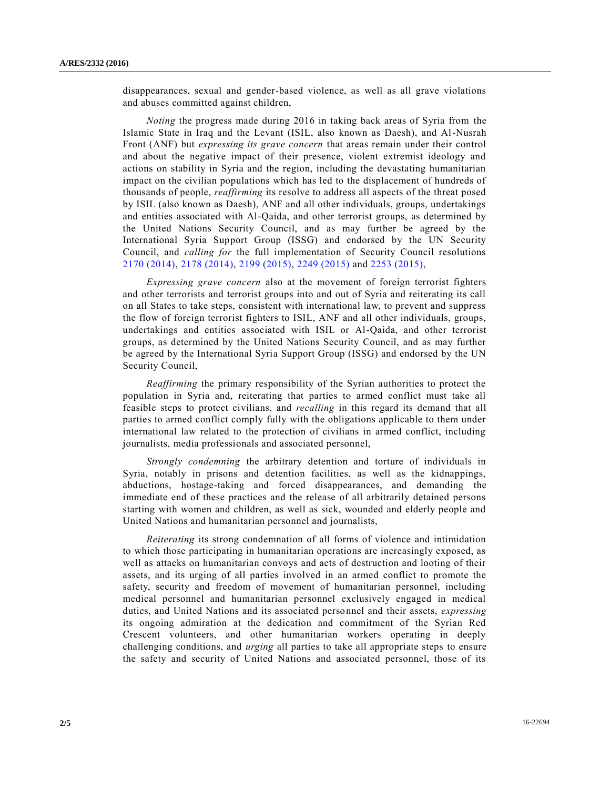disappearances, sexual and gender-based violence, as well as all grave violations and abuses committed against children,

*Noting* the progress made during 2016 in taking back areas of Syria from the Islamic State in Iraq and the Levant (ISIL, also known as Daesh), and Al-Nusrah Front (ANF) but *expressing its grave concern* that areas remain under their control and about the negative impact of their presence, violent extremist ideology and actions on stability in Syria and the region, including the devastating humanitarian impact on the civilian populations which has led to the displacement of hundreds of thousands of people, *reaffirming* its resolve to address all aspects of the threat posed by ISIL (also known as Daesh), ANF and all other individuals, groups, undertakings and entities associated with Al-Qaida, and other terrorist groups, as determined by the United Nations Security Council, and as may further be agreed by the International Syria Support Group (ISSG) and endorsed by the UN Security Council, and *calling for* the full implementation of Security Council resolutions [2170 \(2014\),](http://undocs.org/S/RES/2170(2014)) [2178 \(2014\),](http://undocs.org/S/RES/2178(2014)) [2199 \(2015\),](http://undocs.org/S/RES/2199(2015)) [2249 \(2015\)](http://undocs.org/S/RES/2249(2015)) and [2253 \(2015\),](http://undocs.org/S/RES/2253(2015))

*Expressing grave concern* also at the movement of foreign terrorist fighters and other terrorists and terrorist groups into and out of Syria and reiterating its call on all States to take steps, consistent with international law, to prevent and suppress the flow of foreign terrorist fighters to ISIL, ANF and all other individuals, groups, undertakings and entities associated with ISIL or Al-Qaida, and other terrorist groups, as determined by the United Nations Security Council, and as may further be agreed by the International Syria Support Group (ISSG) and endorsed by the UN Security Council,

*Reaffirming* the primary responsibility of the Syrian authorities to protect the population in Syria and, reiterating that parties to armed conflict must take all feasible steps to protect civilians, and *recalling* in this regard its demand that all parties to armed conflict comply fully with the obligations applicable to them under international law related to the protection of civilians in armed conflict, including journalists, media professionals and associated personnel,

*Strongly condemning* the arbitrary detention and torture of individuals in Syria, notably in prisons and detention facilities, as well as the kidnappings, abductions, hostage-taking and forced disappearances, and demanding the immediate end of these practices and the release of all arbitrarily detained persons starting with women and children, as well as sick, wounded and elderly people and United Nations and humanitarian personnel and journalists,

*Reiterating* its strong condemnation of all forms of violence and intimidation to which those participating in humanitarian operations are increasingly exposed, as well as attacks on humanitarian convoys and acts of destruction and looting of their assets, and its urging of all parties involved in an armed conflict to promote the safety, security and freedom of movement of humanitarian personnel, including medical personnel and humanitarian personnel exclusively engaged in medical duties, and United Nations and its associated personnel and their assets, *expressing* its ongoing admiration at the dedication and commitment of the Syrian Red Crescent volunteers, and other humanitarian workers operating in deeply challenging conditions, and *urging* all parties to take all appropriate steps to ensure the safety and security of United Nations and associated personnel, those of its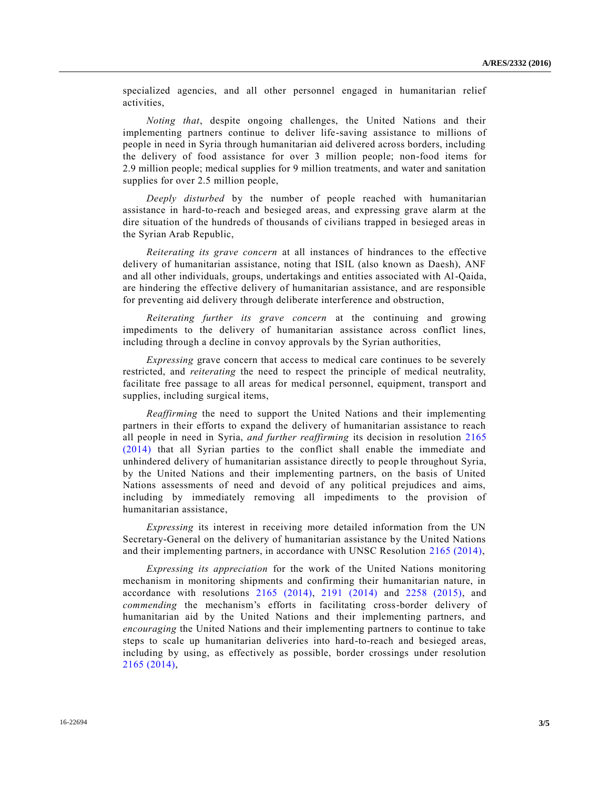specialized agencies, and all other personnel engaged in humanitarian relief activities,

*Noting that*, despite ongoing challenges, the United Nations and their implementing partners continue to deliver life-saving assistance to millions of people in need in Syria through humanitarian aid delivered across borders, including the delivery of food assistance for over 3 million people; non-food items for 2.9 million people; medical supplies for 9 million treatments, and water and sanitation supplies for over 2.5 million people,

*Deeply disturbed* by the number of people reached with humanitarian assistance in hard-to-reach and besieged areas, and expressing grave alarm at the dire situation of the hundreds of thousands of civilians trapped in besieged areas in the Syrian Arab Republic,

*Reiterating its grave concern* at all instances of hindrances to the effective delivery of humanitarian assistance, noting that ISIL (also known as Daesh), ANF and all other individuals, groups, undertakings and entities associated with Al-Qaida, are hindering the effective delivery of humanitarian assistance, and are responsible for preventing aid delivery through deliberate interference and obstruction,

*Reiterating further its grave concern* at the continuing and growing impediments to the delivery of humanitarian assistance across conflict lines, including through a decline in convoy approvals by the Syrian authorities,

*Expressing* grave concern that access to medical care continues to be severely restricted, and *reiterating* the need to respect the principle of medical neutrality, facilitate free passage to all areas for medical personnel, equipment, transport and supplies, including surgical items,

*Reaffirming* the need to support the United Nations and their implementing partners in their efforts to expand the delivery of humanitarian assistance to reach all people in need in Syria, *and further reaffirming* its decision in resolution [2165](http://undocs.org/S/RES/2165(2014))  [\(2014\)](http://undocs.org/S/RES/2165(2014)) that all Syrian parties to the conflict shall enable the immediate and unhindered delivery of humanitarian assistance directly to people throughout Syria, by the United Nations and their implementing partners, on the basis of United Nations assessments of need and devoid of any political prejudices and aims, including by immediately removing all impediments to the provision of humanitarian assistance,

*Expressing* its interest in receiving more detailed information from the UN Secretary-General on the delivery of humanitarian assistance by the United Nations and their implementing partners, in accordance with UNSC Resolution [2165 \(2014\),](http://undocs.org/S/RES/2165(2014))

*Expressing its appreciation* for the work of the United Nations monitoring mechanism in monitoring shipments and confirming their humanitarian nature, in accordance with resolutions [2165 \(2014\),](http://undocs.org/S/RES/2165(2014)) [2191 \(2014\)](http://undocs.org/S/RES/2191(2014)) and [2258 \(2015\),](http://undocs.org/S/RES/2258(2015)) and *commending* the mechanism's efforts in facilitating cross-border delivery of humanitarian aid by the United Nations and their implementing partners, and *encouraging* the United Nations and their implementing partners to continue to take steps to scale up humanitarian deliveries into hard-to-reach and besieged areas, including by using, as effectively as possible, border crossings under resolution [2165 \(2014\),](http://undocs.org/S/RES/2165(2014))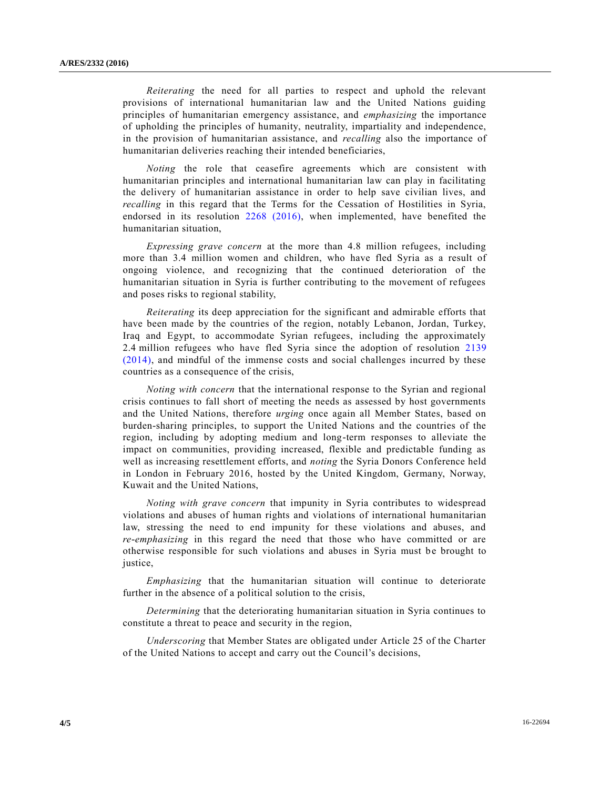*Reiterating* the need for all parties to respect and uphold the relevant provisions of international humanitarian law and the United Nations guiding principles of humanitarian emergency assistance, and *emphasizing* the importance of upholding the principles of humanity, neutrality, impartiality and independence, in the provision of humanitarian assistance, and *recalling* also the importance of humanitarian deliveries reaching their intended beneficiaries,

*Noting* the role that ceasefire agreements which are consistent with humanitarian principles and international humanitarian law can play in facilitating the delivery of humanitarian assistance in order to help save civilian lives, and *recalling* in this regard that the Terms for the Cessation of Hostilities in Syria, endorsed in its resolution [2268 \(2016\),](http://undocs.org/S/RES/2268(2016)) when implemented, have benefited the humanitarian situation,

*Expressing grave concern* at the more than 4.8 million refugees, including more than 3.4 million women and children, who have fled Syria as a result of ongoing violence, and recognizing that the continued deterioration of the humanitarian situation in Syria is further contributing to the movement of refugees and poses risks to regional stability,

*Reiterating* its deep appreciation for the significant and admirable efforts that have been made by the countries of the region, notably Lebanon, Jordan, Turkey, Iraq and Egypt, to accommodate Syrian refugees, including the approximately 2.4 million refugees who have fled Syria since the adoption of resolution [2139](http://undocs.org/S/RES/2139(2014))  [\(2014\),](http://undocs.org/S/RES/2139(2014)) and mindful of the immense costs and social challenges incurred by these countries as a consequence of the crisis,

*Noting with concern* that the international response to the Syrian and regional crisis continues to fall short of meeting the needs as assessed by host governments and the United Nations, therefore *urging* once again all Member States, based on burden-sharing principles, to support the United Nations and the countries of the region, including by adopting medium and long-term responses to alleviate the impact on communities, providing increased, flexible and predictable funding as well as increasing resettlement efforts, and *noting* the Syria Donors Conference held in London in February 2016, hosted by the United Kingdom, Germany, Norway, Kuwait and the United Nations,

*Noting with grave concern* that impunity in Syria contributes to widespread violations and abuses of human rights and violations of international humanitarian law, stressing the need to end impunity for these violations and abuses, and *re-emphasizing* in this regard the need that those who have committed or are otherwise responsible for such violations and abuses in Syria must be brought to justice,

*Emphasizing* that the humanitarian situation will continue to deteriorate further in the absence of a political solution to the crisis,

*Determining* that the deteriorating humanitarian situation in Syria continues to constitute a threat to peace and security in the region,

*Underscoring* that Member States are obligated under Article 25 of the Charter of the United Nations to accept and carry out the Council's decisions,